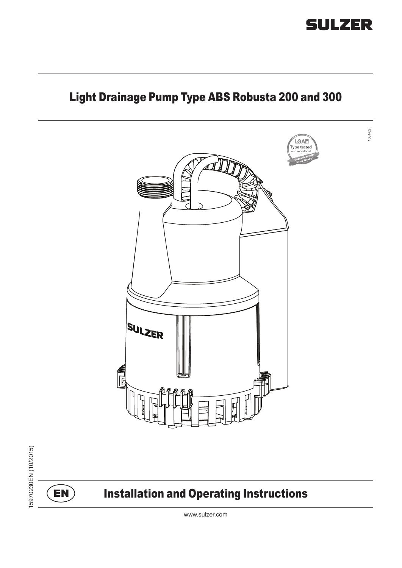



www.sulzer.com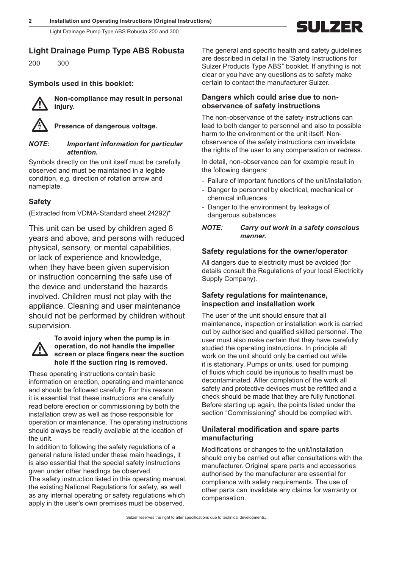# GI II 7FR

## **Light Drainage Pump Type ABS Robusta**

200 300

## **Symbols used in this booklet:**



m **Non-compliance may result in personal injury.**

Presence of dangerous voltage.

#### *NOTE: Important information for particular attention.*

Symbols directly on the unit itself must be carefully observed and must be maintained in a legible condition, e.g. direction of rotation arrow and nameplate.

## **Safety**

(Extracted from VDMA-Standard sheet 24292)\*

This unit can be used by children aged 8 years and above, and persons with reduced physical, sensory, or mental capabilities, or lack of experience and knowledge, when they have been given supervision or instruction concerning the safe use of the device and understand the hazards involved. Children must not play with the appliance. Cleaning and user maintenance should not be performed by children without supervision.



#### **To avoid injury when the pump is in operation, do not handle the impeller screen or place fingers near the suction hole if the suction ring is removed.**

These operating instructions contain basic information on erection, operating and maintenance and should be followed carefully. For this reason it is essential that these instructions are carefully read before erection or commissioning by both the installation crew as well as those responsible for operation or maintenance. The operating instructions should always be readily available at the location of the unit.

In addition to following the safety regulations of a general nature listed under these main headings, it is also essential that the special safety instructions given under other headings be observed.

The safety instruction listed in this operating manual, the existing National Regulations for safety, as well as any internal operating or safety regulations which apply in the user's own premises must be observed.

The general and specific health and safety guidelines are described in detail in the "Safety Instructions for Sulzer Products Type ABS" booklet. If anything is not clear or you have any questions as to safety make certain to contact the manufacturer Sulzer.

## **Dangers which could arise due to nonobservance of safety instructions**

The non-observance of the safety instructions can lead to both danger to personnel and also to possible harm to the environment or the unit itself. Nonobservance of the safety instructions can invalidate the rights of the user to any compensation or redress.

In detail, non-observance can for example result in the following dangers:

- Failure of important functions of the unit/installation
- Danger to personnel by electrical, mechanical or chemical influences
- Danger to the environment by leakage of dangerous substances

### *NOTE: Carry out work in a safety conscious manner.*

## **Safety regulations for the owner/operator**

All dangers due to electricity must be avoided (for details consult the Regulations of your local Electricity Supply Company).

## **Safety regulations for maintenance, inspection and installation work**

The user of the unit should ensure that all maintenance, inspection or installation work is carried out by authorised and qualified skilled personnel. The user must also make certain that they have carefully studied the operating instructions. In principle all work on the unit should only be carried out while it is stationary. Pumps or units, used for pumping of fluids which could be injurious to health must be decontaminated. After completion of the work all safety and protective devices must be refitted and a check should be made that they are fully functional. Before starting up again, the points listed under the section "Commissioning" should be complied with.

## **Unilateral modification and spare parts manufacturing**

Modifications or changes to the unit/installation should only be carried out after consultations with the manufacturer. Original spare parts and accessories authorised by the manufacturer are essential for compliance with safety requirements. The use of other parts can invalidate any claims for warranty or compensation.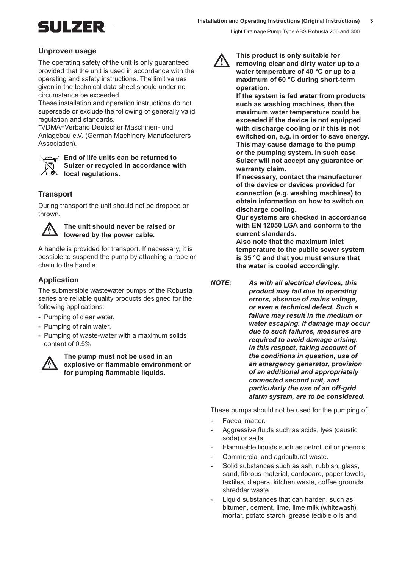SUIZER

#### **Unproven usage**

The operating safety of the unit is only guaranteed provided that the unit is used in accordance with the operating and safety instructions. The limit values given in the technical data sheet should under no circumstance be exceeded.

These installation and operation instructions do not supersede or exclude the following of generally valid regulation and standards.

\*VDMA=Verband Deutscher Maschinen- und Anlagebau e.V. (German Machinery Manufacturers Association).



**End of life units can be returned to Sulzer or recycled in accordance with local regulations.**

#### **Transport**

During transport the unit should not be dropped or thrown.



#### c **The unit should never be raised or lowered by the power cable.**

A handle is provided for transport. If necessary, it is possible to suspend the pump by attaching a rope or chain to the handle.

#### **Application**

The submersible wastewater pumps of the Robusta series are reliable quality products designed for the following applications:

- Pumping of clear water.
- Pumping of rain water.
- Pumping of waste-water with a maximum solids content of 0.5%



The pump must not be used in an<br>explosive or flammable environme<br>for pumping flammable liquids. **explosive or flammable environment or for pumping flammable liquids.**



This product is only suitable for<br>
removing clear and dirty water up to a<br>
water temperature of 40 °C er up to a **water temperature of 40 °C or up to a maximum of 60 °C during short-term operation.**

> **If the system is fed water from products such as washing machines, then the maximum water temperature could be exceeded if the device is not equipped with discharge cooling or if this is not switched on, e.g. in order to save energy. This may cause damage to the pump or the pumping system. In such case Sulzer will not accept any guarantee or warranty claim.**

**If necessary, contact the manufacturer of the device or devices provided for connection (e.g. washing machines) to obtain information on how to switch on discharge cooling.** 

**Our systems are checked in accordance with EN 12050 LGA and conform to the current standards.** 

**Also note that the maximum inlet temperature to the public sewer system is 35 °C and that you must ensure that the water is cooled accordingly.**

*NOTE: As with all electrical devices, this product may fail due to operating errors, absence of mains voltage, or even a technical defect. Such a failure may result in the medium or water escaping. If damage may occur due to such failures, measures are required to avoid damage arising. In this respect, taking account of the conditions in question, use of an emergency generator, provision of an additional and appropriately connected second unit, and particularly the use of an off-grid alarm system, are to be considered.*

These pumps should not be used for the pumping of:

- Faecal matter.
- Aggressive fluids such as acids, lyes (caustic soda) or salts.
- Flammable liquids such as petrol, oil or phenols.
- Commercial and agricultural waste.
- Solid substances such as ash, rubbish, glass, sand, fibrous material, cardboard, paper towels, textiles, diapers, kitchen waste, coffee grounds, shredder waste.
- Liquid substances that can harden, such as bitumen, cement, lime, lime milk (whitewash), mortar, potato starch, grease (edible oils and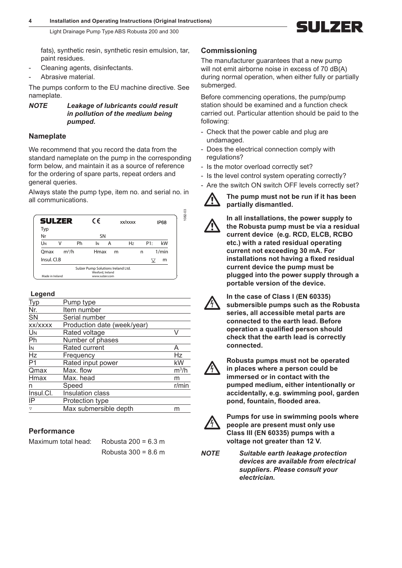III 7ER

fats), synthetic resin, synthetic resin emulsion, tar, paint residues.

Light Drainage Pump Type ABS Robusta 200 and 300

- Cleaning agents, disinfectants.
- Abrasive material.

The pumps conform to the EU machine directive. See nameplate.

*NOTE Leakage of lubricants could result in pollution of the medium being pumped.*

## **Nameplate**

We recommend that you record the data from the standard nameplate on the pump in the corresponding form below, and maintain it as a source of reference for the ordering of spare parts, repeat orders and general queries.

Always state the pump type, item no. and serial no. in all communications.



### **Legend**

| <b>Typ</b>      | Pump type                   |         |
|-----------------|-----------------------------|---------|
| Nr.             | Item number                 |         |
| SN              | Serial number               |         |
| xx/xxxx         | Production date (week/year) |         |
| UN              | Rated voltage               | V       |
| Ph              | Number of phases            |         |
| İΝ              | Rated current               | A       |
| Hz              | Frequency                   | Hz      |
| P <sub>1</sub>  | Rated input power           | kW      |
| Qmax            | Max. flow                   | $m^3/h$ |
| Hmax            | Max. head                   | m       |
| n               | Speed                       | r/min   |
| Insul.Cl.       | Insulation class            |         |
| IP              | Protection type             |         |
| $\triangledown$ | Max submersible depth       | m       |
|                 |                             |         |

## **Performance**

Maximum total head: Robusta 200 = 6.3 m

Robusta 300 = 8.6 m

## **Commissioning**

The manufacturer guarantees that a new pump will not emit airborne noise in excess of 70 dB(A) during normal operation, when either fully or partially submerged.

Before commencing operations, the pump/pump station should be examined and a function check carried out. Particular attention should be paid to the following:

- Check that the power cable and plug are undamaged.
- Does the electrical connection comply with regulations?
- Is the motor overload correctly set?
- Is the level control system operating correctly?
- Are the switch ON switch OFF levels correctly set?



The pump must not be run if it has been **partially dismantled.**

In all installations, the power supply to<br>the Robusta pump must be via a residu<br>current device (e.g. RCD, ELCB, RCBO **the Robusta pump must be via a residual current device (e.g. RCD, ELCB, RCBO etc.) with a rated residual operating current not exceeding 30 mA. For installations not having a fixed residual current device the pump must be plugged into the power supply through a portable version of the device.**



**he case of Class I (EN 60335)**<br> **Submersible pumps such as the Robusta**<br> **Series** all accessible metal parts are **series, all accessible metal parts are connected to the earth lead. Before operation a qualified person should check that the earth lead is correctly connected.**



c **Robusta pumps must not be operated in places where a person could be immersed or in contact with the pumped medium, either intentionally or accidentally, e.g. swimming pool, garden pond, fountain, flooded area.**



Pumps for use in swimming pools where **people are present must only use Class III (EN 60335) pumps with a voltage not greater than 12 V.**

*NOTE Suitable earth leakage protection devices are available from electrical suppliers. Please consult your electrician.*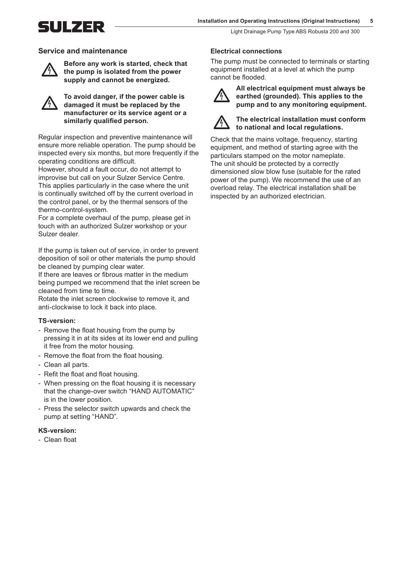GI II 7ER

Light Drainage Pump Type ABS Robusta 200 and 300

#### **Service and maintenance**



**had the pump is isolated from the power<br>
supply and cannot be energized supply and cannot be energized.**

**the power cable is<br>
damaged it must be replaced by the<br>
manufacturer or its service agent or a manufacturer or its service agent or a similarly qualified person.**

Regular inspection and preventive maintenance will ensure more reliable operation. The pump should be inspected every six months, but more frequently if the operating conditions are difficult.

However, should a fault occur, do not attempt to improvise but call on your Sulzer Service Centre. This applies particularly in the case where the unit is continually switched off by the current overload in the control panel, or by the thermal sensors of the thermo-control-system.

For a complete overhaul of the pump, please get in touch with an authorized Sulzer workshop or your Sulzer dealer.

If the pump is taken out of service, in order to prevent deposition of soil or other materials the pump should be cleaned by pumping clear water.

If there are leaves or fibrous matter in the medium being pumped we recommend that the inlet screen be cleaned from time to time.

Rotate the inlet screen clockwise to remove it, and anti-clockwise to lock it back into place.

#### **TS-version:**

- Remove the float housing from the pump by pressing it in at its sides at its lower end and pulling it free from the motor housing.
- Remove the float from the float housing.
- Clean all parts.
- Refit the float and float housing.
- When pressing on the float housing it is necessary that the change-over switch "HAND AUTOMATIC" is in the lower position.
- Press the selector switch upwards and check the pump at setting "HAND".

#### **KS-version:**

- Clean float

#### **Electrical connections**

The pump must be connected to terminals or starting equipment installed at a level at which the pump cannot be flooded.



All electrical equipment must always be<br>earthed (grounded). This applies to the<br>pump and to any monitoring equipment. **earthed (grounded). This applies to the pump and to any monitoring equipment.**



#### c **The electrical installation must conform to national and local regulations.**

Check that the mains voltage, frequency, starting equipment, and method of starting agree with the particulars stamped on the motor nameplate. The unit should be protected by a correctly dimensioned slow blow fuse (suitable for the rated power of the pump). We recommend the use of an overload relay. The electrical installation shall be inspected by an authorized electrician.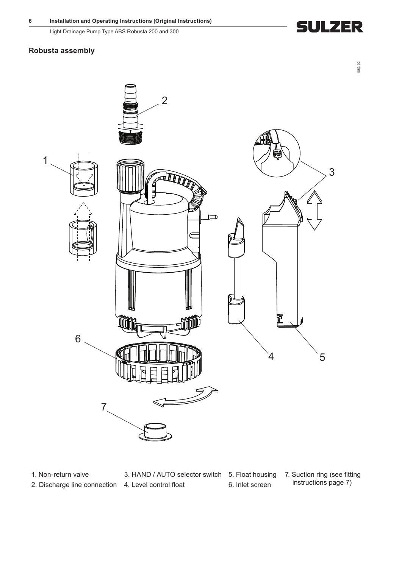# **SULZER**

## **Robusta assembly**



1. Non-return valve 3. HAND / AUTO selector switch 5. Float housing 7. Suction ring (see fitting 2. Discharge line connection 4. Level control float 6. Inlet screen instructions page 7)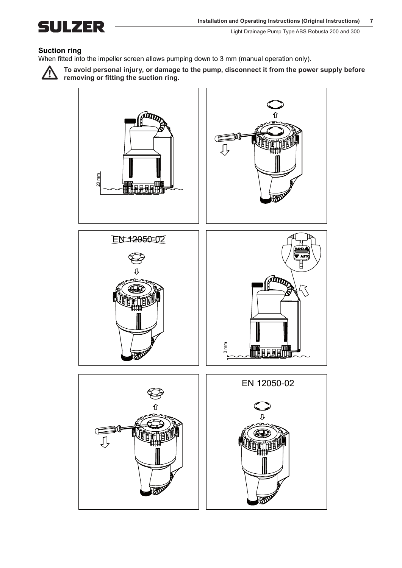

### **Suction ring**

When fitted into the impeller screen allows pumping down to 3 mm (manual operation only).



To avoid personal injury, or damage to the pump, disconnect it from the power supply before **removing or fitting the suction ring.**